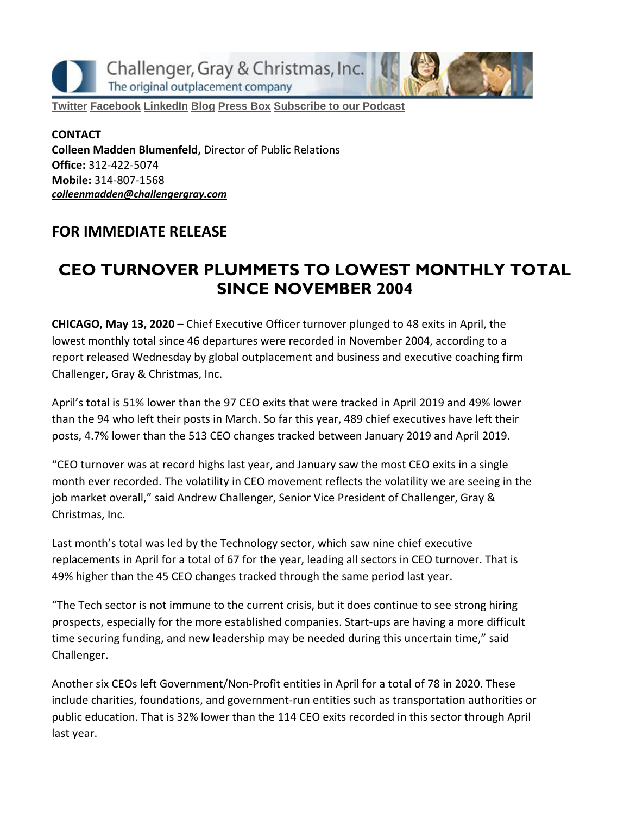Challenger, Gray & Christmas, Inc. The original outplacement company

**[Twitter](https://twitter.com/#!/ChallengerGray) [Facebook](https://www.facebook.com/ChallengerGray) [LinkedIn](http://www.linkedin.com/company/28264?trk=tyah) [Blog](http://www.challengergray.com/press/blog) [Press](http://www.challengergray.com/press/press-releases) Box [Subscribe](https://itunes.apple.com/us/podcast/challenger-podcast-hr-passport/id1155541697?mt=2) to our Podcast**

**CONTACT Colleen Madden Blumenfeld,** Director of Public Relations **Office:** 312-422-5074 **Mobile:** 314-807-1568 *[colleenmadden@challengergray.com](mailto:colleenmadden@challengergray.com)*

#### **FOR IMMEDIATE RELEASE**

# **CEO TURNOVER PLUMMETS TO LOWEST MONTHLY TOTAL SINCE NOVEMBER 2004**

**CHICAGO, May 13, 2020** – Chief Executive Officer turnover plunged to 48 exits in April, the lowest monthly total since 46 departures were recorded in November 2004, according to a report released Wednesday by global outplacement and business and executive coaching firm Challenger, Gray & Christmas, Inc.

April's total is 51% lower than the 97 CEO exits that were tracked in April 2019 and 49% lower than the 94 who left their posts in March. So far this year, 489 chief executives have left their posts, 4.7% lower than the 513 CEO changes tracked between January 2019 and April 2019.

"CEO turnover was at record highs last year, and January saw the most CEO exits in a single month ever recorded. The volatility in CEO movement reflects the volatility we are seeing in the job market overall," said Andrew Challenger, Senior Vice President of Challenger, Gray & Christmas, Inc.

Last month's total was led by the Technology sector, which saw nine chief executive replacements in April for a total of 67 for the year, leading all sectors in CEO turnover. That is 49% higher than the 45 CEO changes tracked through the same period last year.

"The Tech sector is not immune to the current crisis, but it does continue to see strong hiring prospects, especially for the more established companies. Start-ups are having a more difficult time securing funding, and new leadership may be needed during this uncertain time," said Challenger.

Another six CEOs left Government/Non-Profit entities in April for a total of 78 in 2020. These include charities, foundations, and government-run entities such as transportation authorities or public education. That is 32% lower than the 114 CEO exits recorded in this sector through April last year.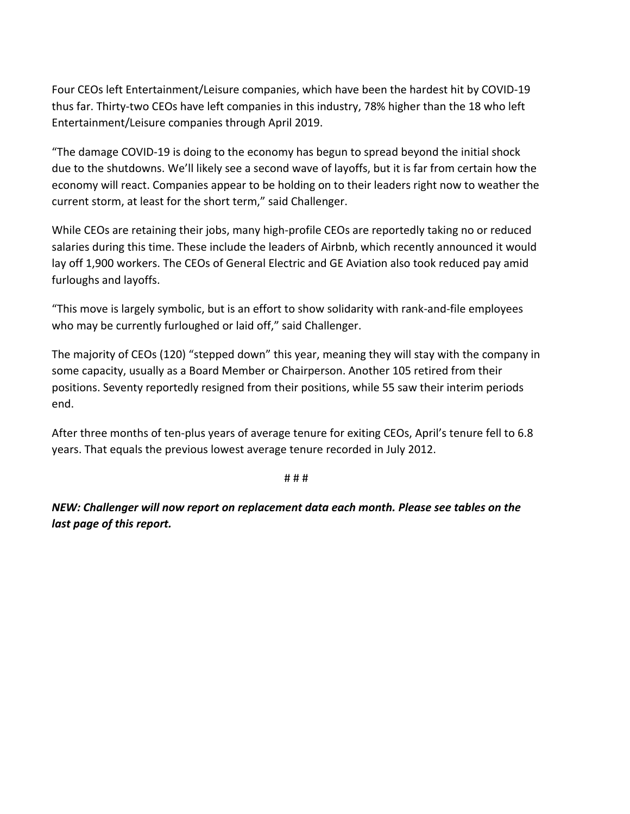Four CEOs left Entertainment/Leisure companies, which have been the hardest hit by COVID-19 thus far. Thirty-two CEOs have left companies in this industry, 78% higher than the 18 who left Entertainment/Leisure companies through April 2019.

"The damage COVID-19 is doing to the economy has begun to spread beyond the initial shock due to the shutdowns. We'll likely see a second wave of layoffs, but it is far from certain how the economy will react. Companies appear to be holding on to their leaders right now to weather the current storm, at least for the short term," said Challenger.

While CEOs are retaining their jobs, many high-profile CEOs are reportedly taking no or reduced salaries during this time. These include the leaders of Airbnb, which recently announced it would lay off 1,900 workers. The CEOs of General Electric and GE Aviation also took reduced pay amid furloughs and layoffs.

"This move is largely symbolic, but is an effort to show solidarity with rank-and-file employees who may be currently furloughed or laid off," said Challenger.

The majority of CEOs (120) "stepped down" this year, meaning they will stay with the company in some capacity, usually as a Board Member or Chairperson. Another 105 retired from their positions. Seventy reportedly resigned from their positions, while 55 saw their interim periods end.

After three months of ten-plus years of average tenure for exiting CEOs, April's tenure fell to 6.8 years. That equals the previous lowest average tenure recorded in July 2012.

# # #

*NEW: Challenger will now report on replacement data each month. Please see tables on the last page of this report.*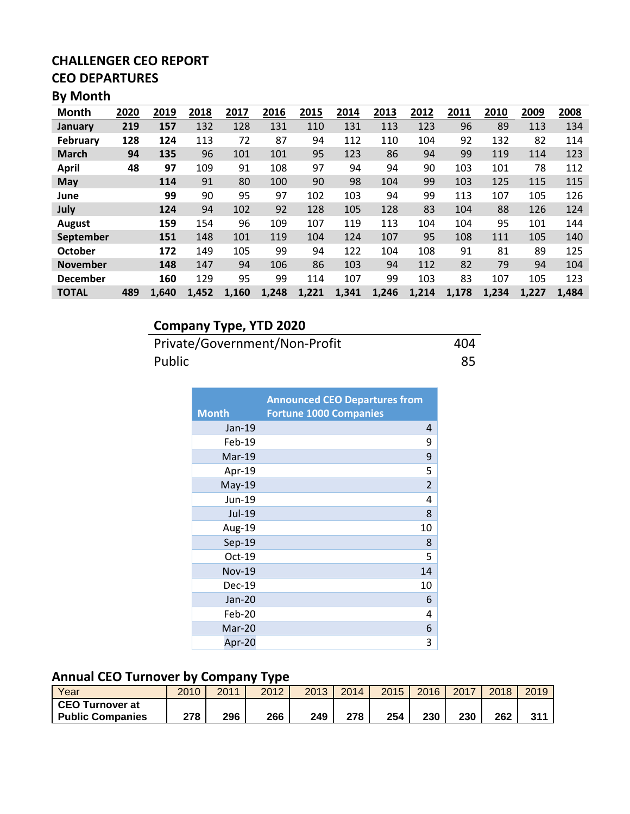#### **CHALLENGER CEO REPORT CEO DEPARTURES**

#### **By Month**

| <b>Month</b>    | 2020 | 2019  | 2018  | 2017  | 2016  | 2015  | 2014  | 2013  | 2012  | 2011  | 2010  | 2009  | 2008  |
|-----------------|------|-------|-------|-------|-------|-------|-------|-------|-------|-------|-------|-------|-------|
| January         | 219  | 157   | 132   | 128   | 131   | 110   | 131   | 113   | 123   | 96    | 89    | 113   | 134   |
| <b>February</b> | 128  | 124   | 113   | 72    | 87    | 94    | 112   | 110   | 104   | 92    | 132   | 82    | 114   |
| <b>March</b>    | 94   | 135   | 96    | 101   | 101   | 95    | 123   | 86    | 94    | 99    | 119   | 114   | 123   |
| <b>April</b>    | 48   | 97    | 109   | 91    | 108   | 97    | 94    | 94    | 90    | 103   | 101   | 78    | 112   |
| <b>May</b>      |      | 114   | 91    | 80    | 100   | 90    | 98    | 104   | 99    | 103   | 125   | 115   | 115   |
| June            |      | 99    | 90    | 95    | 97    | 102   | 103   | 94    | 99    | 113   | 107   | 105   | 126   |
| July            |      | 124   | 94    | 102   | 92    | 128   | 105   | 128   | 83    | 104   | 88    | 126   | 124   |
| August          |      | 159   | 154   | 96    | 109   | 107   | 119   | 113   | 104   | 104   | 95    | 101   | 144   |
| September       |      | 151   | 148   | 101   | 119   | 104   | 124   | 107   | 95    | 108   | 111   | 105   | 140   |
| <b>October</b>  |      | 172   | 149   | 105   | 99    | 94    | 122   | 104   | 108   | 91    | 81    | 89    | 125   |
| <b>November</b> |      | 148   | 147   | 94    | 106   | 86    | 103   | 94    | 112   | 82    | 79    | 94    | 104   |
| <b>December</b> |      | 160   | 129   | 95    | 99    | 114   | 107   | 99    | 103   | 83    | 107   | 105   | 123   |
| <b>TOTAL</b>    | 489  | 1,640 | 1,452 | 1,160 | 1,248 | 1,221 | 1,341 | 1,246 | 1,214 | 1,178 | 1,234 | 1,227 | 1,484 |

# **Company Type, YTD 2020**

Private/Government/Non-Profit 404 Public 85

|               | <b>Announced CEO Departures from</b> |
|---------------|--------------------------------------|
| <b>Month</b>  | <b>Fortune 1000 Companies</b>        |
| $Jan-19$      | 4                                    |
| Feb-19        | 9                                    |
| $Mar-19$      | 9                                    |
| Apr-19        | 5                                    |
| May-19        | $\overline{2}$                       |
| Jun-19        | 4                                    |
| Jul-19        | 8                                    |
| Aug-19        | 10                                   |
| Sep-19        | 8                                    |
| $Oct-19$      | 5                                    |
| <b>Nov-19</b> | 14                                   |
| $Dec-19$      | 10                                   |
| $Jan-20$      | 6                                    |
| $Feb-20$      | 4                                    |
| Mar-20        | 6                                    |
| Apr-20        | 3                                    |

#### **Annual CEO Turnover by Company Type**

| Year                    | 2010 | 2011 | 2012 | 2013 | 2014 | 2015 | 2016 | 2017 | 2018 | 2019            |
|-------------------------|------|------|------|------|------|------|------|------|------|-----------------|
| <b>CEO Turnover at</b>  |      |      |      |      |      |      |      |      |      |                 |
| <b>Public Companies</b> | 278  | 296  | 266  | 249  | 278  | 254  | 230  | 230  | 262  | 21 <sup>2</sup> |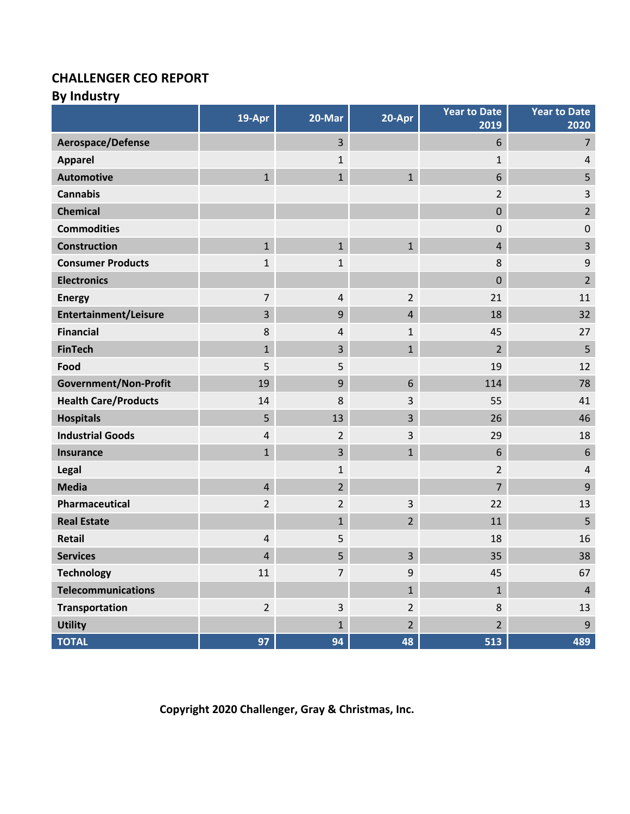#### **CHALLENGER CEO REPORT**

# **By Industry**

|                              | 19-Apr                  | 20-Mar         | 20-Apr         | <b>Year to Date</b><br>2019 | <b>Year to Date</b><br>2020 |
|------------------------------|-------------------------|----------------|----------------|-----------------------------|-----------------------------|
| Aerospace/Defense            |                         | $\overline{3}$ |                | 6                           | $\overline{7}$              |
| <b>Apparel</b>               |                         | $\mathbf{1}$   |                | $\mathbf{1}$                | 4                           |
| <b>Automotive</b>            | $\mathbf{1}$            | $\mathbf{1}$   | $\mathbf{1}$   | 6                           | 5                           |
| <b>Cannabis</b>              |                         |                |                | $\overline{2}$              | 3                           |
| <b>Chemical</b>              |                         |                |                | $\mathbf 0$                 | $\overline{2}$              |
| <b>Commodities</b>           |                         |                |                | $\pmb{0}$                   | $\pmb{0}$                   |
| <b>Construction</b>          | $\mathbf{1}$            | $\mathbf{1}$   | $\mathbf{1}$   | 4                           | $\overline{\mathbf{3}}$     |
| <b>Consumer Products</b>     | 1                       | $\mathbf{1}$   |                | 8                           | $\boldsymbol{9}$            |
| <b>Electronics</b>           |                         |                |                | $\mathbf 0$                 | $\overline{2}$              |
| <b>Energy</b>                | 7                       | 4              | $\overline{2}$ | 21                          | 11                          |
| <b>Entertainment/Leisure</b> | 3                       | 9              | $\overline{4}$ | 18                          | 32                          |
| <b>Financial</b>             | 8                       | 4              | $\mathbf{1}$   | 45                          | 27                          |
| <b>FinTech</b>               | $\mathbf{1}$            | 3              | $\mathbf{1}$   | $\overline{2}$              | 5                           |
| Food                         | 5                       | 5              |                | 19                          | 12                          |
| <b>Government/Non-Profit</b> | 19                      | 9              | 6              | 114                         | 78                          |
| <b>Health Care/Products</b>  | 14                      | 8              | 3              | 55                          | 41                          |
| <b>Hospitals</b>             | 5                       | 13             | 3              | 26                          | 46                          |
| <b>Industrial Goods</b>      | 4                       | $\overline{2}$ | 3              | 29                          | 18                          |
| <b>Insurance</b>             | $\mathbf{1}$            | 3              | $\mathbf{1}$   | 6                           | $\boldsymbol{6}$            |
| <b>Legal</b>                 |                         | $\mathbf{1}$   |                | $\overline{2}$              | 4                           |
| <b>Media</b>                 | $\overline{\mathbf{4}}$ | $\overline{2}$ |                | $\overline{7}$              | $\overline{9}$              |
| Pharmaceutical               | $\overline{2}$          | $\overline{2}$ | 3              | 22                          | 13                          |
| <b>Real Estate</b>           |                         | $\mathbf{1}$   | $\overline{2}$ | 11                          | 5                           |
| <b>Retail</b>                | 4                       | 5              |                | 18                          | 16                          |
| <b>Services</b>              | 4                       | 5              | 3              | 35                          | 38                          |
| <b>Technology</b>            | 11                      | $\overline{7}$ | 9              | 45                          | 67                          |
| <b>Telecommunications</b>    |                         |                | $\mathbf{1}$   | $\mathbf{1}$                | $\overline{4}$              |
| <b>Transportation</b>        | $\overline{2}$          | $\overline{3}$ | $\overline{2}$ | 8                           | 13                          |
| <b>Utility</b>               |                         | $\mathbf{1}$   | $\overline{2}$ | $\overline{2}$              | 9                           |
| <b>TOTAL</b>                 | 97                      | 94             | 48             | 513                         | 489                         |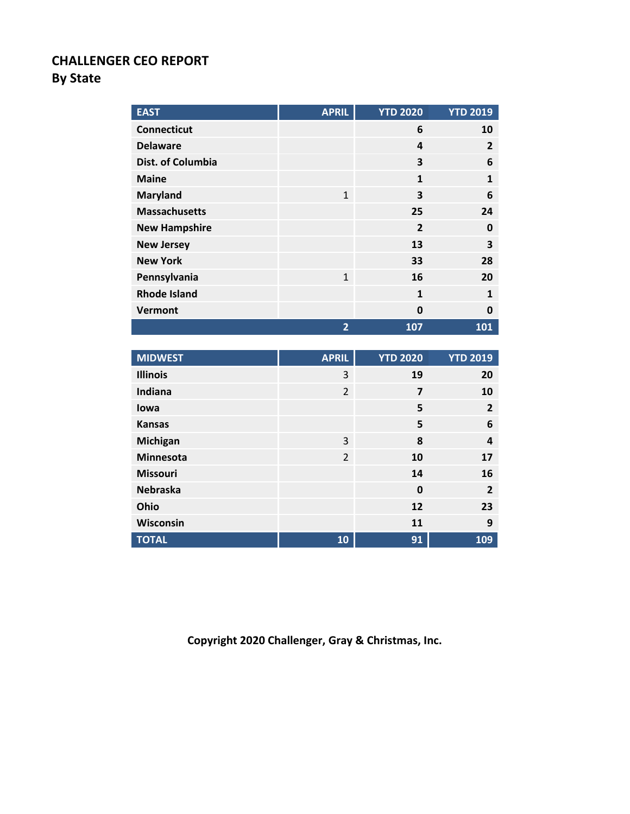#### **CHALLENGER CEO REPORT By State**

| <b>EAST</b>          | <b>APRIL</b>   | <b>YTD 2020</b>         | <b>YTD 2019</b> |
|----------------------|----------------|-------------------------|-----------------|
| <b>Connecticut</b>   |                | 6                       | 10              |
| <b>Delaware</b>      |                | 4                       | $\overline{2}$  |
| Dist. of Columbia    |                | 3                       | 6               |
| <b>Maine</b>         |                | $\mathbf{1}$            | $\mathbf{1}$    |
| <b>Maryland</b>      | $\mathbf{1}$   | 3                       | 6               |
| <b>Massachusetts</b> |                | 25                      | 24              |
| <b>New Hampshire</b> |                | $\overline{2}$          | 0               |
| <b>New Jersey</b>    |                | 13                      | 3               |
| <b>New York</b>      |                | 33                      | 28              |
| Pennsylvania         | $\mathbf{1}$   | 16                      | 20              |
| <b>Rhode Island</b>  |                | $\mathbf{1}$            | $\mathbf{1}$    |
| Vermont              |                | $\mathbf 0$             | $\mathbf 0$     |
|                      |                |                         |                 |
|                      | $\overline{2}$ | 107                     | 101             |
|                      |                |                         |                 |
| <b>MIDWEST</b>       | <b>APRIL</b>   | <b>YTD 2020</b>         | <b>YTD 2019</b> |
| <b>Illinois</b>      | 3              | 19                      | 20              |
| Indiana              | $\overline{2}$ | $\overline{\mathbf{z}}$ | 10              |
| lowa                 |                | 5                       | $\overline{2}$  |
| <b>Kansas</b>        |                | 5                       | 6               |
| Michigan             | 3              | 8                       | 4               |
| Minnesota            | $\overline{2}$ | 10                      | 17              |
| <b>Missouri</b>      |                | 14                      | 16              |
| <b>Nebraska</b>      |                | $\mathbf{0}$            | $\overline{2}$  |
| Ohio                 |                | 12                      | 23              |
| Wisconsin            |                | 11                      | 9               |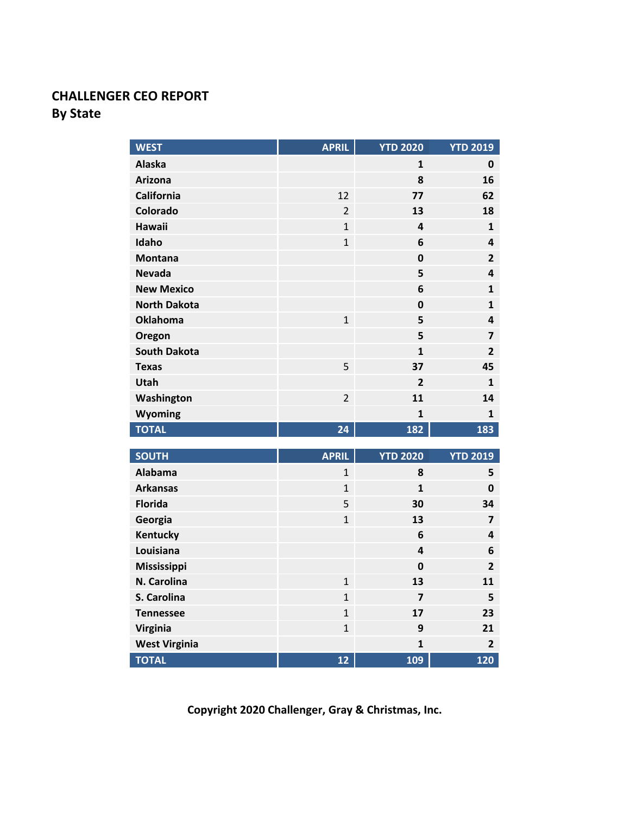## **CHALLENGER CEO REPORT By State**

| <b>WEST</b>                       | <b>APRIL</b>        | <b>YTD 2020</b>         | <b>YTD 2019</b>         |
|-----------------------------------|---------------------|-------------------------|-------------------------|
| <b>Alaska</b>                     |                     | 1                       | 0                       |
| <b>Arizona</b>                    |                     | 8                       | 16                      |
| <b>California</b>                 | 12                  | 77                      | 62                      |
| Colorado                          | $\overline{2}$      | 13                      | 18                      |
| <b>Hawaii</b>                     | $\overline{1}$      | 4                       | 1                       |
| Idaho                             | $\mathbf{1}$        | 6                       | 4                       |
| <b>Montana</b>                    |                     | 0                       | $\overline{2}$          |
| <b>Nevada</b>                     |                     | 5                       | 4                       |
| <b>New Mexico</b>                 |                     | 6                       | $\mathbf{1}$            |
| <b>North Dakota</b>               |                     | $\mathbf 0$             | $\mathbf{1}$            |
| <b>Oklahoma</b>                   | $\mathbf{1}$        | 5                       | 4                       |
| Oregon                            |                     | 5                       | $\overline{\mathbf{z}}$ |
| <b>South Dakota</b>               |                     | $\mathbf{1}$            | $\overline{2}$          |
| <b>Texas</b>                      | 5                   | 37                      | 45                      |
| Utah                              |                     | $\overline{2}$          | $\mathbf{1}$            |
| Washington                        | $\overline{2}$      | 11                      | 14                      |
| Wyoming                           |                     | $\mathbf{1}$            | 1                       |
| <b>TOTAL</b>                      | 24                  | 182                     | 183                     |
| <b>SOUTH</b>                      | <b>APRIL</b>        | <b>YTD 2020</b>         | <b>YTD 2019</b>         |
| <b>Alabama</b>                    | $\overline{1}$      | 8                       | 5                       |
|                                   |                     |                         |                         |
| <b>Arkansas</b><br><b>Florida</b> | $\overline{1}$      | $\mathbf{1}$<br>30      | $\mathbf 0$<br>34       |
|                                   | 5<br>$\overline{1}$ | 13                      | $\overline{7}$          |
| Georgia<br>Kentucky               |                     | 6                       |                         |
| Louisiana                         |                     | 4                       | 4<br>6                  |
| Mississippi                       |                     | $\mathbf{0}$            | $\overline{2}$          |
| N. Carolina                       | $\mathbf{1}$        | 13                      | 11                      |
| S. Carolina                       | $\mathbf{1}$        | 7                       | 5                       |
| <b>Tennessee</b>                  | $\mathbf{1}$        | 17                      | 23                      |
| Virginia                          | $\overline{1}$      | 9                       | 21                      |
| <b>West Virginia</b>              |                     | $\overline{\mathbf{1}}$ | $\overline{2}$          |
| <b>TOTAL</b>                      | 12                  | 109                     | 120                     |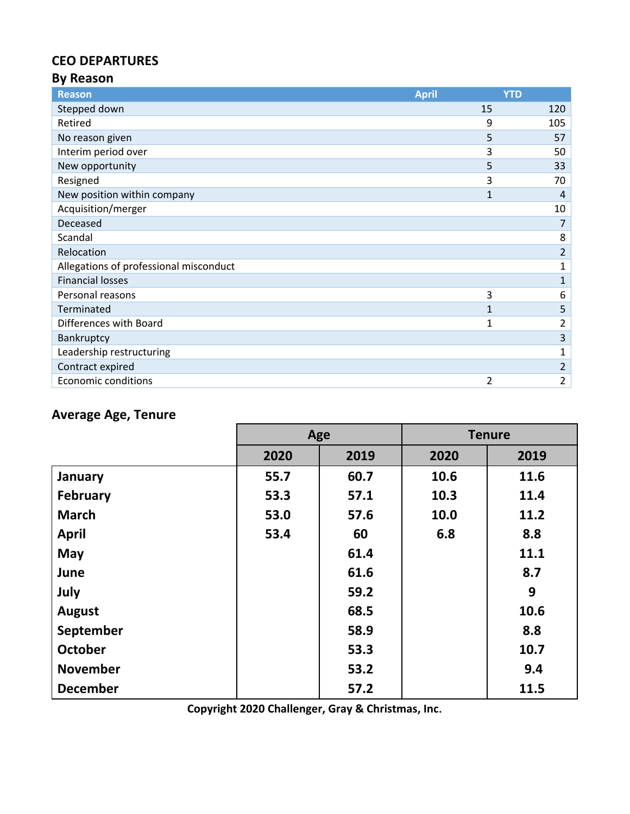## **CEO DEPARTURES**

#### **By Reason**

| <b>Reason</b>                          | <b>April</b> | <b>YTD</b>     |
|----------------------------------------|--------------|----------------|
| Stepped down                           | 15           | 120            |
| Retired                                | 9            | 105            |
| No reason given                        | 5            | 57             |
| Interim period over                    | 3            | 50             |
| New opportunity                        | 5            | 33             |
| Resigned                               | 3            | 70             |
| New position within company            | 1            | 4              |
| Acquisition/merger                     |              | 10             |
| Deceased                               |              | 7              |
| Scandal                                |              | 8              |
| Relocation                             |              | 2              |
| Allegations of professional misconduct |              | 1              |
| <b>Financial losses</b>                |              | 1              |
| Personal reasons                       | 3            | 6              |
| Terminated                             |              | 5              |
| Differences with Board                 | 1            | 2              |
| Bankruptcy                             |              | 3              |
| Leadership restructuring               |              | 1              |
| Contract expired                       |              | 2              |
| <b>Economic conditions</b>             | 2            | $\overline{2}$ |

# **Average Age, Tenure**

|                 | Age  |      |      | <b>Tenure</b> |
|-----------------|------|------|------|---------------|
|                 | 2020 | 2019 | 2020 | 2019          |
| January         | 55.7 | 60.7 | 10.6 | 11.6          |
| <b>February</b> | 53.3 | 57.1 | 10.3 | 11.4          |
| <b>March</b>    | 53.0 | 57.6 | 10.0 | 11.2          |
| <b>April</b>    | 53.4 | 60   | 6.8  | 8.8           |
| <b>May</b>      |      | 61.4 |      | 11.1          |
| June            |      | 61.6 |      | 8.7           |
| July            |      | 59.2 |      | 9             |
| <b>August</b>   |      | 68.5 |      | 10.6          |
| September       |      | 58.9 |      | 8.8           |
| <b>October</b>  |      | 53.3 |      | 10.7          |
| <b>November</b> |      | 53.2 |      | 9.4           |
| <b>December</b> |      | 57.2 |      | 11.5          |